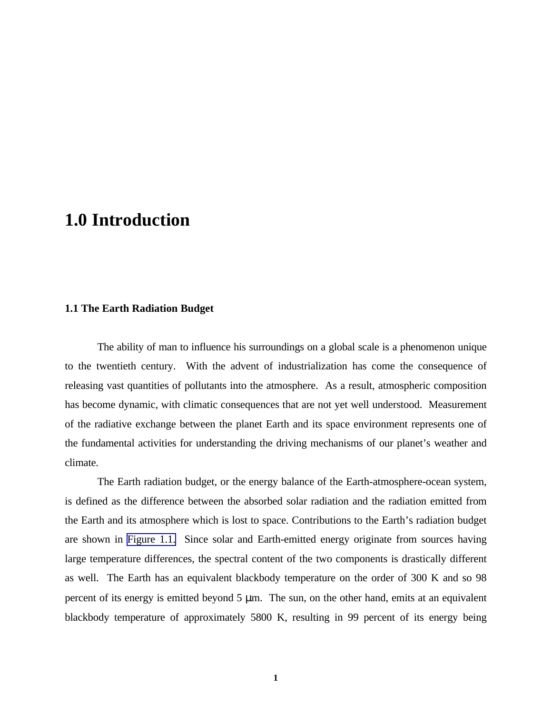# <span id="page-0-0"></span>**1.0 Introduction**

## **1.1 The Earth Radiation Budget**

The ability of man to influence his surroundings on a global scale is a phenomenon unique to the twentieth century. With the advent of industrialization has come the consequence of releasing vast quantities of pollutants into the atmosphere. As a result, atmospheric composition has become dynamic, with climatic consequences that are not yet well understood. Measurement of the radiative exchange between the planet Earth and its space environment represents one of the fundamental activities for understanding the driving mechanisms of our planet's weather and climate.

The Earth radiation budget, or the energy balance of the Earth-atmosphere-ocean system, is defined as the difference between the absorbed solar radiation and the radiation emitted from the Earth and its atmosphere which is lost to space. Contributions to the Earth's radiation budget are shown in Figure 1.1. Since solar and Earth-emitted energy originate from sources having large temperature differences, the spectral content of the two components is drastically different as well. The Earth has an equivalent blackbody temperature on the order of 300 K and so 98 percent of its energy is emitted beyond 5 μm. The sun, on the other hand, emits at an equivalent blackbody temperature of approximately 5800 K, resulting in 99 percent of its energy being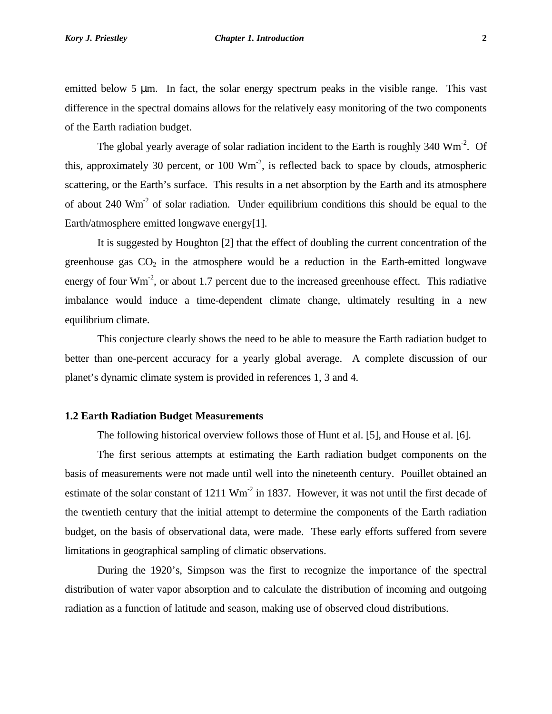#### *Kory J. Priestley Chapter 1. Introduction* **2**

emitted below 5 μm. In fact, the solar energy spectrum peaks in the visible range. This vast difference in the spectral domains allows for the relatively easy monitoring of the two components of the Earth radiation budget.

The global yearly average of solar radiation incident to the Earth is roughly  $340 \text{ Wm}^2$ . Of this, approximately 30 percent, or 100  $Wm<sup>-2</sup>$ , is reflected back to space by clouds, atmospheric scattering, or the Earth's surface. This results in a net absorption by the Earth and its atmosphere of about 240 Wm-2 of solar radiation. Under equilibrium conditions this should be equal to the Earth/atmosphere emitted longwave energy[1].

It is suggested by Houghton [2] that the effect of doubling the current concentration of the greenhouse gas  $CO<sub>2</sub>$  in the atmosphere would be a reduction in the Earth-emitted longwave energy of four  $Wm<sup>-2</sup>$ , or about 1.7 percent due to the increased greenhouse effect. This radiative imbalance would induce a time-dependent climate change, ultimately resulting in a new equilibrium climate.

This conjecture clearly shows the need to be able to measure the Earth radiation budget to better than one-percent accuracy for a yearly global average. A complete discussion of our planet's dynamic climate system is provided in references 1, 3 and 4.

## **1.2 Earth Radiation Budget Measurements**

The following historical overview follows those of Hunt et al. [5], and House et al. [6].

The first serious attempts at estimating the Earth radiation budget components on the basis of measurements were not made until well into the nineteenth century. Pouillet obtained an estimate of the solar constant of  $1211 \text{ Wm}^2$  in 1837. However, it was not until the first decade of the twentieth century that the initial attempt to determine the components of the Earth radiation budget, on the basis of observational data, were made. These early efforts suffered from severe limitations in geographical sampling of climatic observations.

During the 1920's, Simpson was the first to recognize the importance of the spectral distribution of water vapor absorption and to calculate the distribution of incoming and outgoing radiation as a function of latitude and season, making use of observed cloud distributions.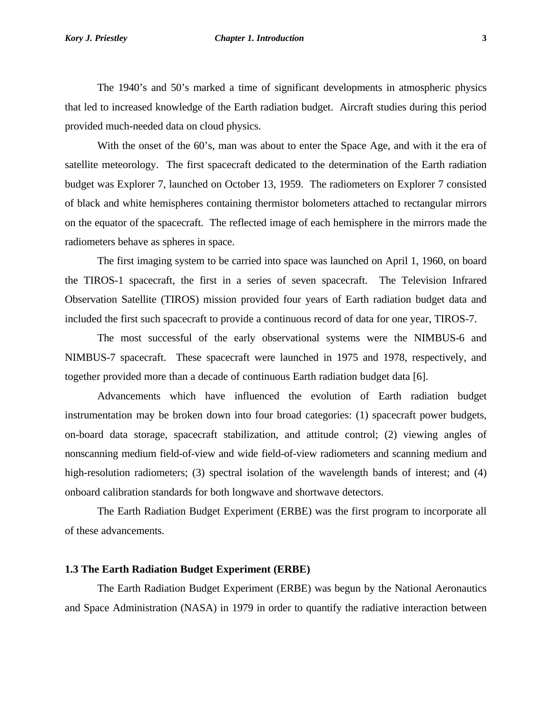#### *Kory J. Priestley Chapter 1. Introduction* **3**

The 1940's and 50's marked a time of significant developments in atmospheric physics that led to increased knowledge of the Earth radiation budget. Aircraft studies during this period provided much-needed data on cloud physics.

With the onset of the 60's, man was about to enter the Space Age, and with it the era of satellite meteorology. The first spacecraft dedicated to the determination of the Earth radiation budget was Explorer 7, launched on October 13, 1959. The radiometers on Explorer 7 consisted of black and white hemispheres containing thermistor bolometers attached to rectangular mirrors on the equator of the spacecraft. The reflected image of each hemisphere in the mirrors made the radiometers behave as spheres in space.

The first imaging system to be carried into space was launched on April 1, 1960, on board the TIROS-1 spacecraft, the first in a series of seven spacecraft. The Television Infrared Observation Satellite (TIROS) mission provided four years of Earth radiation budget data and included the first such spacecraft to provide a continuous record of data for one year, TIROS-7.

The most successful of the early observational systems were the NIMBUS-6 and NIMBUS-7 spacecraft. These spacecraft were launched in 1975 and 1978, respectively, and together provided more than a decade of continuous Earth radiation budget data [6].

Advancements which have influenced the evolution of Earth radiation budget instrumentation may be broken down into four broad categories: (1) spacecraft power budgets, on-board data storage, spacecraft stabilization, and attitude control; (2) viewing angles of nonscanning medium field-of-view and wide field-of-view radiometers and scanning medium and high-resolution radiometers; (3) spectral isolation of the wavelength bands of interest; and (4) onboard calibration standards for both longwave and shortwave detectors.

The Earth Radiation Budget Experiment (ERBE) was the first program to incorporate all of these advancements.

#### **1.3 The Earth Radiation Budget Experiment (ERBE)**

The Earth Radiation Budget Experiment (ERBE) was begun by the National Aeronautics and Space Administration (NASA) in 1979 in order to quantify the radiative interaction between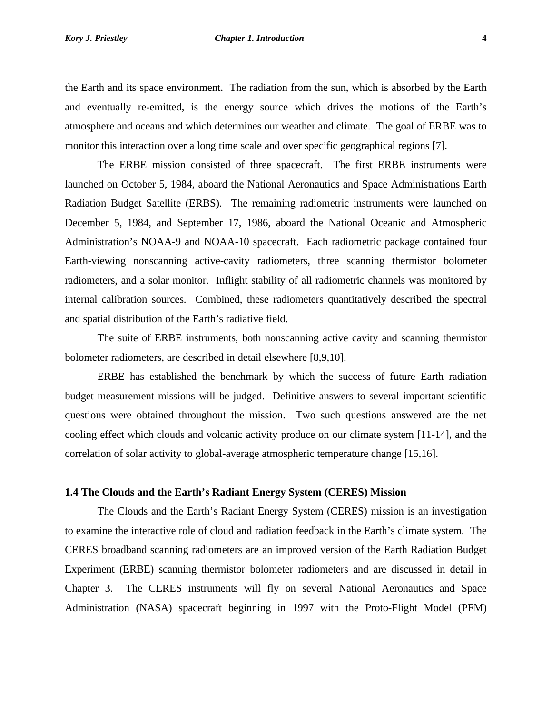the Earth and its space environment. The radiation from the sun, which is absorbed by the Earth and eventually re-emitted, is the energy source which drives the motions of the Earth's atmosphere and oceans and which determines our weather and climate. The goal of ERBE was to monitor this interaction over a long time scale and over specific geographical regions [7].

The ERBE mission consisted of three spacecraft. The first ERBE instruments were launched on October 5, 1984, aboard the National Aeronautics and Space Administrations Earth Radiation Budget Satellite (ERBS). The remaining radiometric instruments were launched on December 5, 1984, and September 17, 1986, aboard the National Oceanic and Atmospheric Administration's NOAA-9 and NOAA-10 spacecraft. Each radiometric package contained four Earth-viewing nonscanning active-cavity radiometers, three scanning thermistor bolometer radiometers, and a solar monitor. Inflight stability of all radiometric channels was monitored by internal calibration sources. Combined, these radiometers quantitatively described the spectral and spatial distribution of the Earth's radiative field.

The suite of ERBE instruments, both nonscanning active cavity and scanning thermistor bolometer radiometers, are described in detail elsewhere [8,9,10].

ERBE has established the benchmark by which the success of future Earth radiation budget measurement missions will be judged. Definitive answers to several important scientific questions were obtained throughout the mission. Two such questions answered are the net cooling effect which clouds and volcanic activity produce on our climate system [11-14], and the correlation of solar activity to global-average atmospheric temperature change [15,16].

## **1.4 The Clouds and the Earth's Radiant Energy System (CERES) Mission**

The Clouds and the Earth's Radiant Energy System (CERES) mission is an investigation to examine the interactive role of cloud and radiation feedback in the Earth's climate system. The CERES broadband scanning radiometers are an improved version of the Earth Radiation Budget Experiment (ERBE) scanning thermistor bolometer radiometers and are discussed in detail in Chapter 3. The CERES instruments will fly on several National Aeronautics and Space Administration (NASA) spacecraft beginning in 1997 with the Proto-Flight Model (PFM)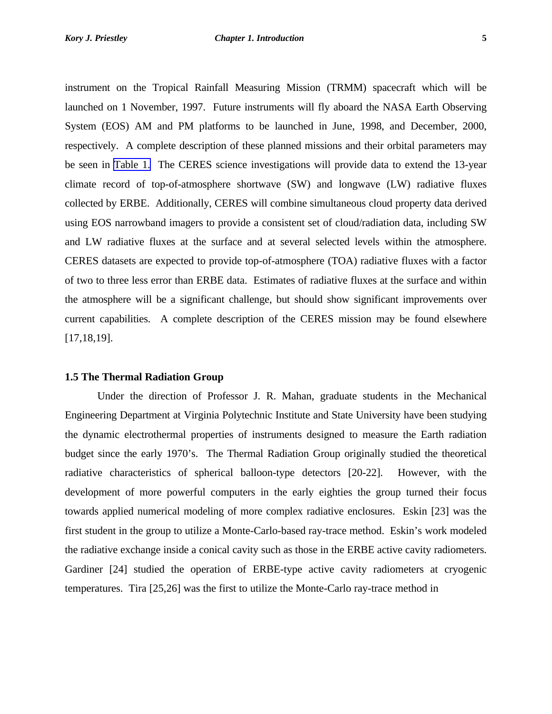instrument on the Tropical Rainfall Measuring Mission (TRMM) spacecraft which will be launched on 1 November, 1997. Future instruments will fly aboard the NASA Earth Observing System (EOS) AM and PM platforms to be launched in June, 1998, and December, 2000, respectively. A complete description of these planned missions and their orbital parameters may be seen in [Table 1.](#page-0-0) The CERES science investigations will provide data to extend the 13-year climate record of top-of-atmosphere shortwave (SW) and longwave (LW) radiative fluxes collected by ERBE. Additionally, CERES will combine simultaneous cloud property data derived using EOS narrowband imagers to provide a consistent set of cloud/radiation data, including SW and LW radiative fluxes at the surface and at several selected levels within the atmosphere. CERES datasets are expected to provide top-of-atmosphere (TOA) radiative fluxes with a factor of two to three less error than ERBE data. Estimates of radiative fluxes at the surface and within the atmosphere will be a significant challenge, but should show significant improvements over current capabilities. A complete description of the CERES mission may be found elsewhere [17,18,19].

## **1.5 The Thermal Radiation Group**

Under the direction of Professor J. R. Mahan, graduate students in the Mechanical Engineering Department at Virginia Polytechnic Institute and State University have been studying the dynamic electrothermal properties of instruments designed to measure the Earth radiation budget since the early 1970's. The Thermal Radiation Group originally studied the theoretical radiative characteristics of spherical balloon-type detectors [20-22]. However, with the development of more powerful computers in the early eighties the group turned their focus towards applied numerical modeling of more complex radiative enclosures. Eskin [23] was the first student in the group to utilize a Monte-Carlo-based ray-trace method. Eskin's work modeled the radiative exchange inside a conical cavity such as those in the ERBE active cavity radiometers. Gardiner [24] studied the operation of ERBE-type active cavity radiometers at cryogenic temperatures. Tira [25,26] was the first to utilize the Monte-Carlo ray-trace method in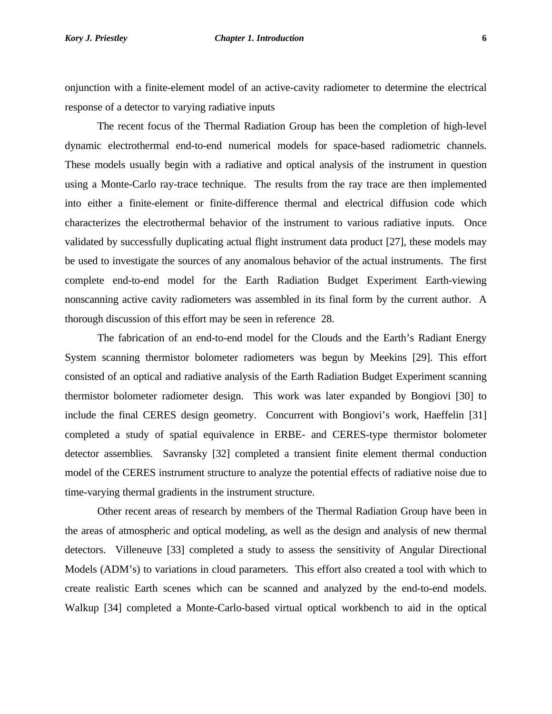#### *Kory J. Priestley Chapter 1. Introduction* **6**

onjunction with a finite-element model of an active-cavity radiometer to determine the electrical response of a detector to varying radiative inputs

The recent focus of the Thermal Radiation Group has been the completion of high-level dynamic electrothermal end-to-end numerical models for space-based radiometric channels. These models usually begin with a radiative and optical analysis of the instrument in question using a Monte-Carlo ray-trace technique. The results from the ray trace are then implemented into either a finite-element or finite-difference thermal and electrical diffusion code which characterizes the electrothermal behavior of the instrument to various radiative inputs. Once validated by successfully duplicating actual flight instrument data product [27], these models may be used to investigate the sources of any anomalous behavior of the actual instruments. The first complete end-to-end model for the Earth Radiation Budget Experiment Earth-viewing nonscanning active cavity radiometers was assembled in its final form by the current author. A thorough discussion of this effort may be seen in reference 28.

The fabrication of an end-to-end model for the Clouds and the Earth's Radiant Energy System scanning thermistor bolometer radiometers was begun by Meekins [29]. This effort consisted of an optical and radiative analysis of the Earth Radiation Budget Experiment scanning thermistor bolometer radiometer design. This work was later expanded by Bongiovi [30] to include the final CERES design geometry. Concurrent with Bongiovi's work, Haeffelin [31] completed a study of spatial equivalence in ERBE- and CERES-type thermistor bolometer detector assemblies. Savransky [32] completed a transient finite element thermal conduction model of the CERES instrument structure to analyze the potential effects of radiative noise due to time-varying thermal gradients in the instrument structure.

Other recent areas of research by members of the Thermal Radiation Group have been in the areas of atmospheric and optical modeling, as well as the design and analysis of new thermal detectors. Villeneuve [33] completed a study to assess the sensitivity of Angular Directional Models (ADM's) to variations in cloud parameters. This effort also created a tool with which to create realistic Earth scenes which can be scanned and analyzed by the end-to-end models. Walkup [34] completed a Monte-Carlo-based virtual optical workbench to aid in the optical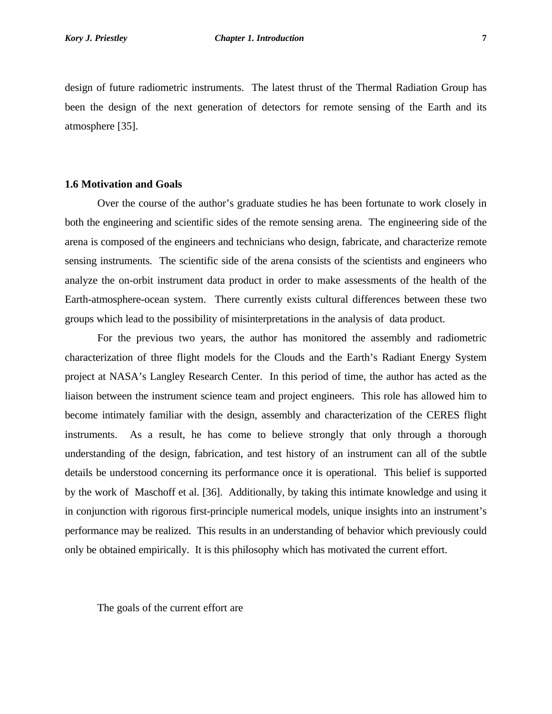design of future radiometric instruments. The latest thrust of the Thermal Radiation Group has been the design of the next generation of detectors for remote sensing of the Earth and its atmosphere [35].

#### **1.6 Motivation and Goals**

Over the course of the author's graduate studies he has been fortunate to work closely in both the engineering and scientific sides of the remote sensing arena. The engineering side of the arena is composed of the engineers and technicians who design, fabricate, and characterize remote sensing instruments. The scientific side of the arena consists of the scientists and engineers who analyze the on-orbit instrument data product in order to make assessments of the health of the Earth-atmosphere-ocean system. There currently exists cultural differences between these two groups which lead to the possibility of misinterpretations in the analysis of data product.

For the previous two years, the author has monitored the assembly and radiometric characterization of three flight models for the Clouds and the Earth's Radiant Energy System project at NASA's Langley Research Center. In this period of time, the author has acted as the liaison between the instrument science team and project engineers. This role has allowed him to become intimately familiar with the design, assembly and characterization of the CERES flight instruments. As a result, he has come to believe strongly that only through a thorough understanding of the design, fabrication, and test history of an instrument can all of the subtle details be understood concerning its performance once it is operational. This belief is supported by the work of Maschoff et al. [36]. Additionally, by taking this intimate knowledge and using it in conjunction with rigorous first-principle numerical models, unique insights into an instrument's performance may be realized. This results in an understanding of behavior which previously could only be obtained empirically. It is this philosophy which has motivated the current effort.

The goals of the current effort are